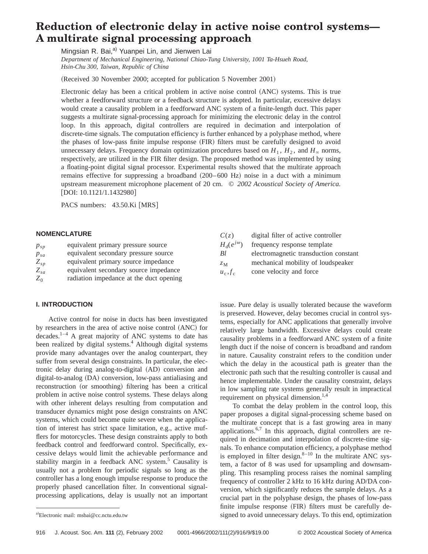# **Reduction of electronic delay in active noise control systems— A multirate signal processing approach**

Mingsian R. Bai,<sup>a)</sup> Yuanpei Lin, and Jienwen Lai

*Department of Mechanical Engineering, National Chiao-Tung University, 1001 Ta-Hsueh Road, Hsin-Chu 300, Taiwan, Republic of China*

 $(Received 30 November 2000; accepted for publication 5 November 2001)$ 

Electronic delay has been a critical problem in active noise control (ANC) systems. This is true whether a feedforward structure or a feedback structure is adopted. In particular, excessive delays would create a causality problem in a feedforward ANC system of a finite-length duct. This paper suggests a multirate signal-processing approach for minimizing the electronic delay in the control loop. In this approach, digital controllers are required in decimation and interpolation of discrete-time signals. The computation efficiency is further enhanced by a polyphase method, where the phases of low-pass finite impulse response (FIR) filters must be carefully designed to avoid unnecessary delays. Frequency domain optimization procedures based on  $H_1$ ,  $H_2$ , and  $H_\infty$  norms, respectively, are utilized in the FIR filter design. The proposed method was implemented by using a floating-point digital signal processor. Experimental results showed that the multirate approach remains effective for suppressing a broadband  $(200-600 \text{ Hz})$  noise in a duct with a minimum upstream measurement microphone placement of 20 cm. © *2002 Acoustical Society of America.*  $[DOI: 10.1121/1.1432980]$ 

PACS numbers: 43.50.Ki [MRS]

## **NOMENCLATURE**

| $p_{sp}$ | equivalent primary pressure source      |
|----------|-----------------------------------------|
| $p_{sa}$ | equivalent secondary pressure source    |
| $Z_{sp}$ | equivalent primary source impedance     |
| $Z_{sa}$ | equivalent secondary source impedance   |
| $Z_0$    | radiation impedance at the duct opening |

# **I. INTRODUCTION**

Active control for noise in ducts has been investigated by researchers in the area of active noise control (ANC) for decades. $1-4$  A great majority of ANC systems to date has been realized by digital systems.<sup>4</sup> Although digital systems provide many advantages over the analog counterpart, they suffer from several design constraints. In particular, the electronic delay during analog-to-digital (AD) conversion and digital-to-analog (DA) conversion, low-pass antialiasing and reconstruction (or smoothing) filtering has been a critical problem in active noise control systems. These delays along with other inherent delays resulting from computation and transducer dynamics might pose design constraints on ANC systems, which could become quite severe when the application of interest has strict space limitation, e.g., active mufflers for motorcycles. These design constraints apply to both feedback control and feedforward control. Specifically, excessive delays would limit the achievable performance and stability margin in a feedback ANC system.<sup>5</sup> Causality is usually not a problem for periodic signals so long as the controller has a long enough impulse response to produce the properly phased cancellation filter. In conventional signalprocessing applications, delay is usually not an important

| C(z)                      | digital filter of active controller   |
|---------------------------|---------------------------------------|
| $H_{\rm d}(e^{j\omega})$  | frequency response template           |
| Bl                        | electromagnetic transduction constant |
| $Z_{\rm M}$               | mechanical mobility of loudspeaker    |
| $u_{\rm c}$ , $f_{\rm c}$ | cone velocity and force               |

issue. Pure delay is usually tolerated because the waveform is preserved. However, delay becomes crucial in control systems, especially for ANC applications that generally involve relatively large bandwidth. Excessive delays could create causality problems in a feedforward ANC system of a finite length duct if the noise of concern is broadband and random in nature. Causality constraint refers to the condition under which the delay in the acoustical path is greater than the electronic path such that the resulting controller is causal and hence implementable. Under the causality constraint, delays in low sampling rate systems generally result in impractical requirement on physical dimension. $1,4$ 

To combat the delay problem in the control loop, this paper proposes a digital signal-processing scheme based on the multirate concept that is a fast growing area in many applications. $6,7$  In this approach, digital controllers are required in decimation and interpolation of discrete-time signals. To enhance computation efficiency, a polyphase method is employed in filter design. $8-10$  In the multirate ANC system, a factor of 8 was used for upsampling and downsampling. This resampling process raises the nominal sampling frequency of controller 2 kHz to 16 kHz during AD/DA conversion, which significantly reduces the sample delays. As a crucial part in the polyphase design, the phases of low-pass finite impulse response  $(FIR)$  filters must be carefully designed to avoid unnecessary delays. To this end, optimization

a)Electronic mail: msbai@cc.nctu.edu.tw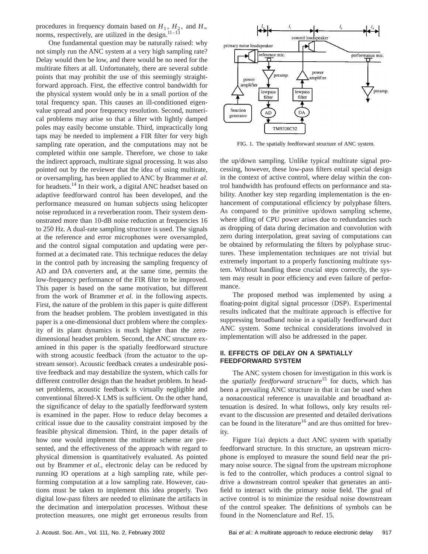procedures in frequency domain based on  $H_1$ ,  $H_2$ , and  $H_\infty$ norms, respectively, are utilized in the design. $11-13$ 

One fundamental question may be naturally raised: why not simply run the ANC system at a very high sampling rate? Delay would then be low, and there would be no need for the multirate filters at all. Unfortunately, there are several subtle points that may prohibit the use of this seemingly straightforward approach. First, the effective control bandwidth for the physical system would only be in a small portion of the total frequency span. This causes an ill-conditioned eigenvalue spread and poor frequency resolution. Second, numerical problems may arise so that a filter with lightly damped poles may easily become unstable. Third, impractically long taps may be needed to implement a FIR filter for very high sampling rate operation, and the computations may not be completed within one sample. Therefore, we chose to take the indirect approach, multirate signal processing. It was also pointed out by the reviewer that the idea of using multirate, or oversampling, has been applied to ANC by Brammer *et al.* for headsets.14 In their work, a digital ANC headset based on adaptive feedforward control has been developed, and the performance measured on human subjects using helicopter noise reproduced in a reverberation room. Their system demonstrated more than 10-dB noise reduction at frequencies 16 to 250 Hz. A dual-rate sampling structure is used. The signals at the reference and error microphones were oversampled, and the control signal computation and updating were performed at a decimated rate. This technique reduces the delay in the control path by increasing the sampling frequency of AD and DA converters and, at the same time, permits the low-frequency performance of the FIR filter to be improved. This paper is based on the same motivation, but different from the work of Brammer *et al.* in the following aspects. First, the nature of the problem in this paper is quite different from the headset problem. The problem investigated in this paper is a one-dimensional duct problem where the complexity of its plant dynamics is much higher than the zerodimensional headset problem. Second, the ANC structure examined in this paper is the spatially feedforward structure with strong acoustic feedback (from the actuator to the upstream sensor). Acoustic feedback creates a undesirable positive feedback and may destabilize the system, which calls for different controller design than the headset problem. In headset problems, acoustic feedback is virtually negligible and conventional filtered-X LMS is sufficient. On the other hand, the significance of delay to the spatially feedforward system is examined in the paper. How to reduce delay becomes a critical issue due to the causality constraint imposed by the feasible physical dimension. Third, in the paper details of how one would implement the multirate scheme are presented, and the effectiveness of the approach with regard to physical dimension is quantitatively evaluated. As pointed out by Brammer *et al.*, electronic delay can be reduced by running IO operations at a high sampling rate, while performing computation at a low sampling rate. However, cautions must be taken to implement this idea properly. Two digital low-pass filters are needed to eliminate the artifacts in the decimation and interpolation processes. Without these protection measures, one might get erroneous results from



FIG. 1. The spatially feedforward structure of ANC system.

the up/down sampling. Unlike typical multirate signal processing, however, these low-pass filters entail special design in the context of active control, where delay within the control bandwidth has profound effects on performance and stability. Another key step regarding implementation is the enhancement of computational efficiency by polyphase filters. As compared to the primitive up/down sampling scheme, where idling of CPU power arises due to redundancies such as dropping of data during decimation and convolution with zero during interpolation, great saving of computations can be obtained by reformulating the filters by polyphase structures. These implementation techniques are not trivial but extremely important to a properly functioning multirate system. Without handling these crucial steps correctly, the system may result in poor efficiency and even failure of performance.

The proposed method was implemented by using a floating-point digital signal processor (DSP). Experimental results indicated that the multirate approach is effective for suppressing broadband noise in a spatially feedforward duct ANC system. Some technical considerations involved in implementation will also be addressed in the paper.

# **II. EFFECTS OF DELAY ON A SPATIALLY FEEDFORWARD SYSTEM**

The ANC system chosen for investigation in this work is the *spatially feedforward structure*<sup>15</sup> for ducts, which has been a prevailing ANC structure in that it can be used when a nonacoustical reference is unavailable and broadband attenuation is desired. In what follows, only key results relevant to the discussion are presented and detailed derivations can be found in the literature<sup>16</sup> and are thus omitted for brevity.

Figure  $1(a)$  depicts a duct ANC system with spatially feedforward structure. In this structure, an upstream microphone is employed to measure the sound field near the primary noise source. The signal from the upstream microphone is fed to the controller, which produces a control signal to drive a downstream control speaker that generates an antifield to interact with the primary noise field. The goal of active control is to minimize the residual noise downstream of the control speaker. The definitions of symbols can be found in the Nomenclature and Ref. 15.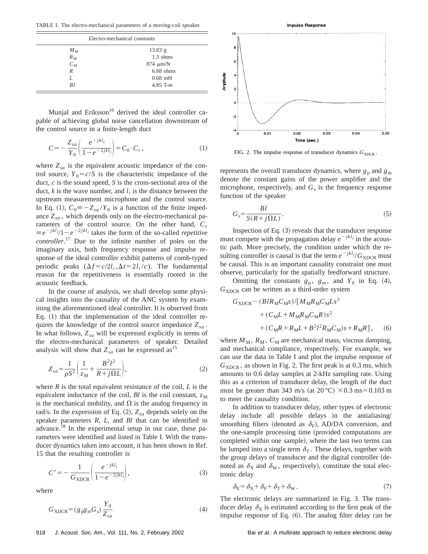TABLE I. The electro-mechanical parameters of a moving-coil speaker.

| Electro-mechanical constants |                    |  |  |
|------------------------------|--------------------|--|--|
| $M_{\rm M}$                  | $13.83$ g          |  |  |
| $R_{\rm M}$                  | $1.3 \text{ ohms}$ |  |  |
| $C_{\rm M}$                  | $874 \mu m/N$      |  |  |
| $\boldsymbol{R}$             | $6.88$ ohms        |  |  |
| L                            | $0.68$ mH          |  |  |
| Bl                           | $4.85$ T-m         |  |  |

Munjal and Eriksson<sup>16</sup> derived the ideal controller capable of achieving global noise cancellation downstream of the control source in a finite-length duct

$$
C = -\frac{Z_{sa}}{Y_0} \left( \frac{e^{-jkl_i}}{1 - e^{-2jkl_i}} \right) = C_0 \cdot C_r, \qquad (1)
$$

where  $Z_{sa}$  is the equivalent acoustic impedance of the control source,  $Y_0 = c/S$  is the characteristic impedance of the duct, *c* is the sound speed, *S* is the cross-sectional area of the duct,  $k$  is the wave number, and  $l_i$  is the distance between the upstream measurement microphone and the control source. In Eq. (1),  $C_0 = -Z_{sa}/Y_0$  is a function of the finite impedance  $Z_{sa}$ , which depends only on the electro-mechanical parameters of the control source. On the other hand,  $C_r$  $\equiv e^{-jkl_i}/1-e^{-2jkl_i}$  takes the form of the so-called *repetitive controller*. <sup>17</sup> Due to the infinite number of poles on the imaginary axis, both frequency response and impulse response of the ideal controller exhibit patterns of comb-typed periodic peaks  $(\Delta f = c/2l_i, \Delta t = 2l_i/c)$ . The fundamental reason for the repetitiveness is essentially rooted in the acoustic feedback.

In the course of analysis, we shall develop some physical insights into the causality of the ANC system by examining the aforementioned ideal controller. It is observed from Eq.  $(1)$  that the implementation of the ideal controller requires the knowledge of the control source impedance  $Z_{sa}$ . In what follows,  $Z_{sa}$  will be expressed explicitly in terms of the electro-mechanical parameters of speaker. Detailed analysis will show that  $Z_{sa}$  can be expressed as<sup>15</sup>

$$
Z_{sa} = \frac{1}{\rho S^2} \left( \frac{1}{z_M} + \frac{B^2 l^2}{R + j \Omega L} \right),\tag{2}
$$

where *R* is the total equivalent resistance of the coil, *L* is the equivalent inductance of the coil,  $Bl$  is the coil constant,  $z_M$ is the mechanical mobility, and  $\Omega$  is the analog frequency in rad/s. In the expression of Eq.  $(2)$ ,  $Z_{sa}$  depends solely on the speaker parameters *R*, *L*, and *Bl* that can be identified in advance.18 In the experimental setup in our case, these parameters were identified and listed in Table I. With the transducer dynamics taken into account, it has been shown in Ref. 15 that the resulting controller is

$$
C' = -\frac{1}{G_{\text{XDCR}}} \left( \frac{e^{-jkl_i}}{1 - e^{-2jkl_i}} \right),\tag{3}
$$

where

$$
G_{\text{XDCR}} = (g_p g_m G_s) \frac{Y_0}{Z_{sa}} \tag{4}
$$



FIG. 2. The impulse response of transducer dynamics  $G_{XDCR}$ .

represents the overall transducer dynamics, where  $g_p$  and  $g_m$ denote the constant gains of the power amplifier and the microphone, respectively, and  $G_s$  is the frequency response function of the speaker

$$
G_{\rm s} = \frac{Bl}{S(R + j\Omega L)}.\tag{5}
$$

Inspection of Eq.  $(3)$  reveals that the transducer response must compete with the propagation delay  $e^{-jkl_i}$  in the acoustic path. More precisely, the condition under which the resulting controller is causal is that the term  $e^{-jkl}$ *i*/*G*<sub>XDCR</sub> must be causal. This is an important causality constraint one must observe, particularly for the spatially feedforward structure.

Omitting the constants  $g_p$ ,  $g_m$ , and  $Y_0$  in Eq. (4),  $G_{XDCR}$  can be written as a third-order system

$$
G_{\text{XDCR}} \sim (BIR_{\text{M}}C_{\text{M}}s)/[M_{\text{M}}R_{\text{M}}C_{\text{M}}Ls^{3} + (C_{\text{M}}L + M_{\text{M}}R_{\text{M}}C_{\text{M}}R)s^{2} + (C_{\text{M}}R + R_{\text{M}}L + B^{2}l^{2}R_{\text{M}}C_{\text{M}})s + R_{\text{M}}R],
$$
 (6)

where  $M_M$ ,  $R_M$ ,  $C_M$  are mechanical mass, viscous damping, and mechanical compliance, respectively. For example, we can use the data in Table I and plot the impulse response of *G*XDCR , as shown in Fig. 2. The first peak is at 0.3 ms, which amounts to 0.6 delay samples at 2-kHz sampling rate. Using this as a criterion of transducer delay, the length of the duct must be greater than 343 m/s (at  $20 °C$ )  $\times$  0.3 ms=0.103 m to meet the causality condition.

In addition to transducer delay, other types of electronic delay include all possible delays in the antialiasing/ smoothing filters (denoted as  $\delta_F$ ), AD/DA conversion, and the one-sample processing time (provided computations are completed within one sample), where the last two terms can be lumped into a single term  $\delta_{\rm T}$ . These delays, together with the group delays of transducer and the digital controller (denoted as  $\delta_X$  and  $\delta_W$ , respectively), constitute the total electronic delay

$$
\delta_{\rm E} = \delta_{\rm X} + \delta_{\rm F} + \delta_{\rm T} + \delta_{\rm W} \,. \tag{7}
$$

The electronic delays are summarized in Fig. 3. The transducer delay  $\delta_X$  is estimated according to the first peak of the impulse response of Eq. (6). The analog filter delay can be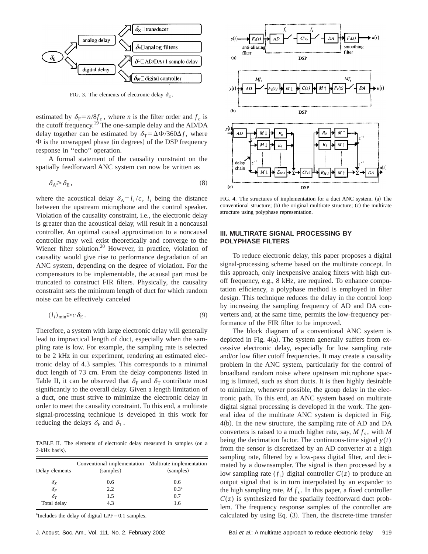

FIG. 3. The elements of electronic delay  $\delta_{\rm E}$ .

estimated by  $\delta_F = n/8f_c$ , where *n* is the filter order and  $f_c$  is the cutoff frequency.<sup>19</sup> The one-sample delay and the AD/DA delay together can be estimated by  $\delta_{\rm T} = \Delta \Phi / 360 \Delta f$ , where  $\Phi$  is the unwrapped phase (in degrees) of the DSP frequency response in ''echo'' operation.

A formal statement of the causality constraint on the spatially feedforward ANC system can now be written as

$$
\delta_{A} \geq \delta_{E},\tag{8}
$$

where the acoustical delay  $\delta_A = l_i / c$ ,  $l_i$  being the distance between the upstream microphone and the control speaker. Violation of the causality constraint, i.e., the electronic delay is greater than the acoustical delay, will result in a noncausal controller. An optimal causal approximation to a noncausal controller may well exist theoretically and converge to the Wiener filter solution.<sup>20</sup> However, in practice, violation of causality would give rise to performance degradation of an ANC system, depending on the degree of violation. For the compensators to be implementable, the acausal part must be truncated to construct FIR filters. Physically, the causality constraint sets the minimum length of duct for which random noise can be effectively canceled

$$
(l_i)_{\min} \ge c \, \delta_{\mathcal{E}}.\tag{9}
$$

Therefore, a system with large electronic delay will generally lead to impractical length of duct, especially when the sampling rate is low. For example, the sampling rate is selected to be 2 kHz in our experiment, rendering an estimated electronic delay of 4.3 samples. This corresponds to a minimal duct length of 73 cm. From the delay components listed in Table II, it can be observed that  $\delta_F$  and  $\delta_T$  contribute most significantly to the overall delay. Given a length limitation of a duct, one must strive to minimize the electronic delay in order to meet the causality constraint. To this end, a multirate signal-processing technique is developed in this work for reducing the delays  $\delta_F$  and  $\delta_T$ .

TABLE II. The elements of electronic delay measured in samples (on a 2-kHz basis).

| Delay elements              | Conventional implementation Multirate implementation<br>(samples) | (samples)     |  |  |
|-----------------------------|-------------------------------------------------------------------|---------------|--|--|
| $\delta_X$                  | 0.6                                                               | 0.6           |  |  |
|                             | 2.2                                                               | $0.3^{\rm a}$ |  |  |
| $\frac{\delta_F}{\delta_T}$ | 1.5                                                               | 0.7           |  |  |
| Total delay                 | 4.3                                                               | 1.6           |  |  |

<sup>a</sup>Includes the delay of digital LPF= $0.1$  samples.



FIG. 4. The structures of implementation for a duct ANC system. (a) The conventional structure;  $(b)$  the original multirate structure;  $(c)$  the multirate structure using polyphase representation.

### **III. MULTIRATE SIGNAL PROCESSING BY POLYPHASE FILTERS**

To reduce electronic delay, this paper proposes a digital signal-processing scheme based on the multirate concept. In this approach, only inexpensive analog filters with high cutoff frequency, e.g., 8 kHz, are required. To enhance computation efficiency, a polyphase method is employed in filter design. This technique reduces the delay in the control loop by increasing the sampling frequency of AD and DA converters and, at the same time, permits the low-frequency performance of the FIR filter to be improved.

The block diagram of a conventional ANC system is depicted in Fig.  $4(a)$ . The system generally suffers from excessive electronic delay, especially for low sampling rate and/or low filter cutoff frequencies. It may create a causality problem in the ANC system, particularly for the control of broadband random noise where upstream microphone spacing is limited, such as short ducts. It is then highly desirable to minimize, whenever possible, the group delay in the electronic path. To this end, an ANC system based on multirate digital signal processing is developed in the work. The general idea of the multirate ANC system is depicted in Fig. 4(b). In the new structure, the sampling rate of AD and DA converters is raised to a much higher rate, say,  $M f_s$ , with  $M$ being the decimation factor. The continuous-time signal  $y(t)$ from the sensor is discretized by an AD converter at a high sampling rate, filtered by a low-pass digital filter, and decimated by a downsampler. The signal is then processed by a low sampling rate  $(f_s)$  digital controller  $C(z)$  to produce an output signal that is in turn interpolated by an expander to the high sampling rate,  $M f_s$ . In this paper, a fixed controller  $C(z)$  is synthesized for the spatially feedforward duct problem. The frequency response samples of the controller are calculated by using Eq.  $(3)$ . Then, the discrete-time transfer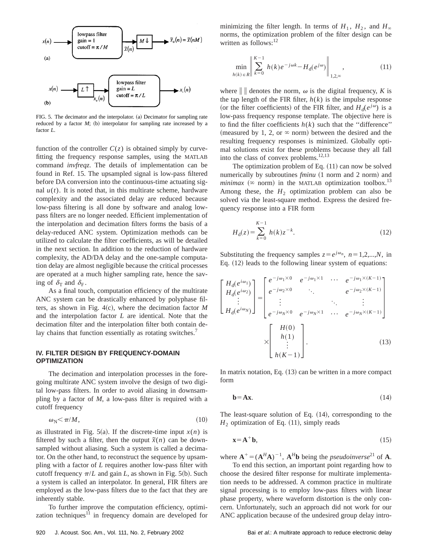

FIG. 5. The decimator and the interpolator. (a) Decimator for sampling rate reduced by a factor  $M$ ; (b) interpolator for sampling rate increased by a factor *L*.

function of the controller  $C(z)$  is obtained simply by curvefitting the frequency response samples, using the MATLAB command *invfreqz*. The details of implementation can be found in Ref. 15. The upsampled signal is low-pass filtered before DA conversion into the continuous-time actuating signal  $u(t)$ . It is noted that, in this multirate scheme, hardware complexity and the associated delay are reduced because low-pass filtering is all done by software and analog lowpass filters are no longer needed. Efficient implementation of the interpolation and decimation filters forms the basis of a delay-reduced ANC system. Optimization methods can be utilized to calculate the filter coefficients, as will be detailed in the next section. In addition to the reduction of hardware complexity, the AD/DA delay and the one-sample computation delay are almost negligible because the critical processes are operated at a much higher sampling rate, hence the saving of  $\delta_{\rm T}$  and  $\delta_{\rm F}$ .

As a final touch, computation efficiency of the multirate ANC system can be drastically enhanced by polyphase filters, as shown in Fig.  $4(c)$ , where the decimation factor *M* and the interpolation factor *L* are identical. Note that the decimation filter and the interpolation filter both contain delay chains that function essentially as rotating switches.<sup>7</sup>

## **IV. FILTER DESIGN BY FREQUENCY-DOMAIN OPTIMIZATION**

The decimation and interpolation processes in the foregoing multirate ANC system involve the design of two digital low-pass filters. In order to avoid aliasing in downsampling by a factor of *M*, a low-pass filter is required with a cutoff frequency

$$
\omega_{\rm N} \le \pi / M, \tag{10}
$$

as illustrated in Fig.  $5(a)$ . If the discrete-time input  $x(n)$  is filtered by such a filter, then the output  $\tilde{x}(n)$  can be downsampled without aliasing. Such a system is called a decimator. On the other hand, to reconstruct the sequence by upsampling with a factor of *L* requires another low-pass filter with cutoff frequency  $\pi/L$  and gain *L*, as shown in Fig. 5(b). Such a system is called an interpolator. In general, FIR filters are employed as the low-pass filters due to the fact that they are inherently stable.

To further improve the computation efficiency, optimization techniques $11$  in frequency domain are developed for minimizing the filter length. In terms of  $H_1$ ,  $H_2$ , and  $H_\infty$ norms, the optimization problem of the filter design can be written as follows:<sup>12</sup>

$$
\min_{h(k)\in R} \left\| \sum_{k=0}^{K-1} h(k)e^{-j\omega k} - H_d(e^{j\omega}) \right\|_{1,2,\infty},
$$
\n(11)

where  $\|$  denotes the norm,  $\omega$  is the digital frequency, *K* is the tap length of the FIR filter,  $h(k)$  is the impulse response (or the filter coefficients) of the FIR filter, and  $H_d(e^{j\omega})$  is a low-pass frequency response template. The objective here is to find the filter coefficients  $h(k)$  such that the "difference" (measured by 1, 2, or  $\infty$  norm) between the desired and the resulting frequency responses is minimized. Globally optimal solutions exist for these problems because they all fall into the class of convex problems. $12,13$ 

The optimization problem of Eq.  $(11)$  can now be solved numerically by subroutines *fminu* (1 norm and 2 norm) and *minimax* ( $\infty$  norm) in the MATLAB optimization toolbox.<sup>13</sup> Among these, the  $H_2$  optimization problem can also be solved via the least-square method. Express the desired frequency response into a FIR form

$$
H_d(z) = \sum_{k=0}^{K-1} h(k) z^{-k}.
$$
 (12)

Substituting the frequency samples  $z = e^{j\omega_n}$ ,  $n = 1,2,...,N$ , in Eq.  $(12)$  leads to the following linear system of equations:

$$
\begin{bmatrix}\nH_d(e^{i\omega_1}) \\
H_d(e^{i\omega_2}) \\
\vdots \\
H_d(e^{i\omega_N})\n\end{bmatrix} = \begin{bmatrix}\ne^{-j\omega_1 \times 0} & e^{-j\omega_1 \times 1} & \cdots & e^{-j\omega_1 \times (K-1)} \\
e^{-j\omega_2 \times 0} & \ddots & e^{-j\omega_2 \times (K-1)} \\
\vdots & \ddots & \vdots \\
e^{-j\omega_N \times 0} & e^{-j\omega_N \times 1} & \cdots & e^{-j\omega_N \times (K-1)}\n\end{bmatrix}
$$
\n
$$
\times \begin{bmatrix}\nH(0) \\
h(1) \\
\vdots \\
h(K-1)\n\end{bmatrix}.
$$
\n(13)

In matrix notation, Eq.  $(13)$  can be written in a more compact form

$$
\mathbf{b} = \mathbf{A}\mathbf{x}.\tag{14}
$$

The least-square solution of Eq.  $(14)$ , corresponding to the  $H_2$  optimization of Eq.  $(11)$ , simply reads

$$
\mathbf{x} = \mathbf{A}^+ \mathbf{b},\tag{15}
$$

where  $\mathbf{A}^+ = (\mathbf{A}^H \mathbf{A})^{-1}$ ,  $\mathbf{A}^H \mathbf{b}$  being the *pseudoinverse*<sup>21</sup> of **A**.

To end this section, an important point regarding how to choose the desired filter response for multirate implementation needs to be addressed. A common practice in multirate signal processing is to employ low-pass filters with linear phase property, where waveform distortion is the only concern. Unfortunately, such an approach did not work for our ANC application because of the undesired group delay intro-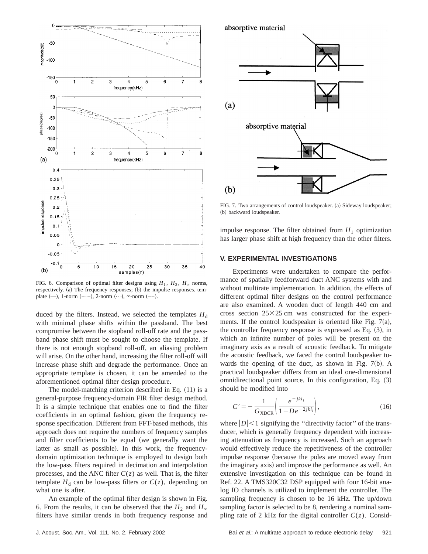

FIG. 6. Comparison of optimal filter designs using  $H_1$ ,  $H_2$ ,  $H_\infty$  norms, respectively.  $(a)$  The frequency responses;  $(b)$  the impulse responses. template  $(-)$ , 1-norm  $(--)$ , 2-norm  $(\cdot \cdot \cdot)$ ,  $\infty$ -norm  $(--)$ .

duced by the filters. Instead, we selected the templates  $H_d$ with minimal phase shifts within the passband. The best compromise between the stopband roll-off rate and the passband phase shift must be sought to choose the template. If there is not enough stopband roll-off, an aliasing problem will arise. On the other hand, increasing the filter roll-off will increase phase shift and degrade the performance. Once an appropriate template is chosen, it can be amended to the aforementioned optimal filter design procedure.

The model-matching criterion described in Eq.  $(11)$  is a general-purpose frequency-domain FIR filter design method. It is a simple technique that enables one to find the filter coefficients in an optimal fashion, given the frequency response specification. Different from FFT-based methods, this approach does not require the numbers of frequency samples and filter coefficients to be equal (we generally want the latter as small as possible). In this work, the frequencydomain optimization technique is employed to design both the low-pass filters required in decimation and interpolation processes, and the ANC filter  $C(z)$  as well. That is, the filter template  $H_d$  can be low-pass filters or  $C(z)$ , depending on what one is after.

An example of the optimal filter design is shown in Fig. 6. From the results, it can be observed that the  $H_2$  and  $H_\infty$ filters have similar trends in both frequency response and



FIG. 7. Two arrangements of control loudspeaker. (a) Sideway loudspeaker; (b) backward loudspeaker.

impulse response. The filter obtained from  $H_1$  optimization has larger phase shift at high frequency than the other filters.

#### **V. EXPERIMENTAL INVESTIGATIONS**

Experiments were undertaken to compare the performance of spatially feedforward duct ANC systems with and without multirate implementation. In addition, the effects of different optimal filter designs on the control performance are also examined. A wooden duct of length 440 cm and cross section  $25 \times 25$  cm was constructed for the experiments. If the control loudspeaker is oriented like Fig.  $7(a)$ , the controller frequency response is expressed as Eq.  $(3)$ , in which an infinite number of poles will be present on the imaginary axis as a result of acoustic feedback. To mitigate the acoustic feedback, we faced the control loudspeaker towards the opening of the duct, as shown in Fig.  $7(b)$ . A practical loudspeaker differs from an ideal one-dimensional omnidirectional point source. In this configuration, Eq.  $(3)$ should be modified into

$$
C' = -\frac{1}{G_{\text{XDCR}}} \left( \frac{e^{-jkl_i}}{1 - De^{-2jkl_i}} \right),\tag{16}
$$

where  $|D|$ <1 signifying the "directivity factor" of the transducer, which is generally frequency dependent with increasing attenuation as frequency is increased. Such an approach would effectively reduce the repetitiveness of the controller impulse response (because the poles are moved away from the imaginary axis) and improve the performance as well. An extensive investigation on this technique can be found in Ref. 22. A TMS320C32 DSP equipped with four 16-bit analog IO channels is utilized to implement the controller. The sampling frequency is chosen to be 16 kHz. The up/down sampling factor is selected to be 8, rendering a nominal sampling rate of 2 kHz for the digital controller  $C(z)$ . Consid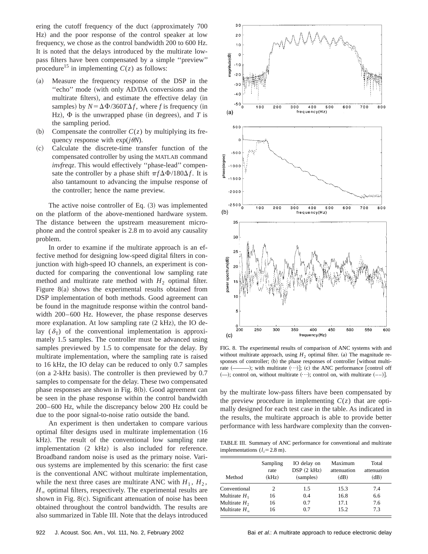ering the cutoff frequency of the duct (approximately  $700$ Hz) and the poor response of the control speaker at low frequency, we chose as the control bandwidth 200 to 600 Hz. It is noted that the delays introduced by the multirate lowpass filters have been compensated by a simple ''preview'' procedure<sup>15</sup> in implementing  $C(z)$  as follows:

- (a) Measure the frequency response of the DSP in the "echo" mode (with only AD/DA conversions and the multirate filters), and estimate the effective delay (in samples) by  $N = \Delta \Phi/360T\Delta f$ , where *f* is frequency (in Hz),  $\Phi$  is the unwrapped phase (in degrees), and *T* is the sampling period.
- (b) Compensate the controller  $C(z)$  by multiplying its frequency response with  $exp(j\theta N)$ .
- ~c! Calculate the discrete-time transfer function of the compensated controller by using the MATLAB command *invfreqz*. This would effectively ''phase-lead'' compensate the controller by a phase shift  $\pi f \Delta \Phi / 180 \Delta f$ . It is also tantamount to advancing the impulse response of the controller; hence the name preview.

The active noise controller of Eq.  $(3)$  was implemented on the platform of the above-mentioned hardware system. The distance between the upstream measurement microphone and the control speaker is 2.8 m to avoid any causality problem.

In order to examine if the multirate approach is an effective method for designing low-speed digital filters in conjunction with high-speed IO channels, an experiment is conducted for comparing the conventional low sampling rate method and multirate rate method with  $H_2$  optimal filter. Figure  $8(a)$  shows the experimental results obtained from DSP implementation of both methods. Good agreement can be found in the magnitude response within the control bandwidth 200–600 Hz. However, the phase response deserves more explanation. At low sampling rate  $(2 \text{ kHz})$ , the IO delay  $(\delta_T)$  of the conventional implementation is approximately 1.5 samples. The controller must be advanced using samples previewed by 1.5 to compensate for the delay. By multirate implementation, where the sampling rate is raised to 16 kHz, the IO delay can be reduced to only 0.7 samples (on a 2-kHz basis). The controller is then previewed by  $0.7$ samples to compensate for the delay. These two compensated phase responses are shown in Fig.  $8(b)$ . Good agreement can be seen in the phase response within the control bandwidth 200–600 Hz, while the discrepancy below 200 Hz could be due to the poor signal-to-noise ratio outside the band.

An experiment is then undertaken to compare various optimal filter designs used in multirate implementation  $(16$ kHz). The result of the conventional low sampling rate  $implementation (2 kHz)$  is also included for reference. Broadband random noise is used as the primary noise. Various systems are implemented by this scenario: the first case is the conventional ANC without multirate implementation, while the next three cases are multirate ANC with  $H_1$ ,  $H_2$ ,  $H_{\infty}$  optimal filters, respectively. The experimental results are shown in Fig.  $8(c)$ . Significant attenuation of noise has been obtained throughout the control bandwidth. The results are also summarized in Table III. Note that the delays introduced



FIG. 8. The experimental results of comparison of ANC systems with and without multirate approach, using  $H_2$  optimal filter. (a) The magnitude responses of controller; (b) the phase responses of controller [without multirate  $(\_\_\_\$ ); with multirate  $(\cdot \cdot \cdot)!$ ; (c) the ANC performance [control off  $(-);$  control on, without multirate  $(\cdot \cdot \cdot);$  control on, with multirate  $(--)$ .

by the multirate low-pass filters have been compensated by the preview procedure in implementing  $C(z)$  that are optimally designed for each test case in the table. As indicated in the results, the multirate approach is able to provide better performance with less hardware complexity than the conven-

TABLE III. Summary of ANC performance for conventional and multirate implementations  $(l_i=2.8 \text{ m})$ .

| Method                 | Sampling<br>rate<br>(kHz) | IO delay on<br>DSP(2 kHz)<br>(samples) | Maximum<br>attenuation<br>(dB) | Total<br>attenuation<br>(dB) |
|------------------------|---------------------------|----------------------------------------|--------------------------------|------------------------------|
| Conventional           | 2                         | 1.5                                    | 15.3                           | 7.4                          |
| Multirate $H_1$        | 16                        | 0.4                                    | 16.8                           | 6.6                          |
| Multirate $H_2$        | 16                        | 0.7                                    | 17.1                           | 7.6                          |
| Multirate $H_{\infty}$ | 16                        | 0.7                                    | 15.2                           | 73                           |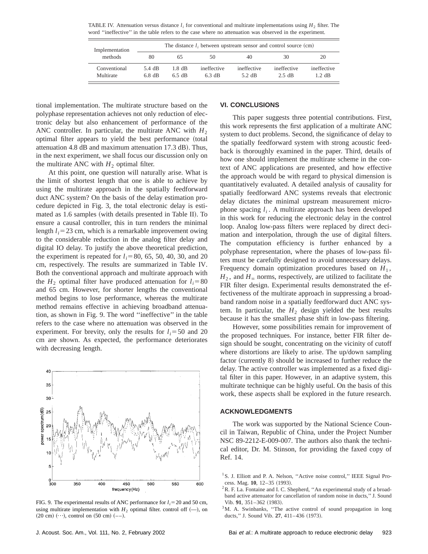TABLE IV. Attenuation versus distance  $l_i$  for conventional and multirate implementations using  $H_2$  filter. The word ''ineffective'' in the table refers to the case where no attenuation was observed in the experiment.

| Implementation<br>methods |                  |                  |                       | The distance $l_i$ between upstream sensor and control source (cm) |                                 |                                 |
|---------------------------|------------------|------------------|-----------------------|--------------------------------------------------------------------|---------------------------------|---------------------------------|
|                           | 80               | 65               | 50                    | 40                                                                 | 30                              | 20                              |
| Conventional<br>Multirate | 5.4 dB<br>6.8 dB | 1.8 dB<br>6.5 dB | ineffective<br>6.3 dB | ineffective<br>5.2 dB                                              | ineffective<br>$2.5 \text{ dB}$ | ineffective<br>$1.2 \text{ dB}$ |

tional implementation. The multirate structure based on the polyphase representation achieves not only reduction of electronic delay but also enhancement of performance of the ANC controller. In particular, the multirate ANC with  $H_2$ optimal filter appears to yield the best performance (total attenuation 4.8  $dB$  and maximum attenuation 17.3  $dB$ ). Thus, in the next experiment, we shall focus our discussion only on the multirate ANC with  $H_2$  optimal filter.

At this point, one question will naturally arise. What is the limit of shortest length that one is able to achieve by using the multirate approach in the spatially feedforward duct ANC system? On the basis of the delay estimation procedure depicted in Fig. 3, the total electronic delay is estimated as 1.6 samples (with details presented in Table II). To ensure a causal controller, this in turn renders the minimal length  $l_i = 23$  cm, which is a remarkable improvement owing to the considerable reduction in the analog filter delay and digital IO delay. To justify the above theoretical prediction, the experiment is repeated for  $l_i = 80, 65, 50, 40, 30,$  and 20 cm, respectively. The results are summarized in Table IV. Both the conventional approach and multirate approach with the  $H_2$  optimal filter have produced attenuation for  $l_i = 80$ and 65 cm. However, for shorter lengths the conventional method begins to lose performance, whereas the multirate method remains effective in achieving broadband attenuation, as shown in Fig. 9. The word ''ineffective'' in the table refers to the case where no attenuation was observed in the experiment. For brevity, only the results for  $l_i = 50$  and 20 cm are shown. As expected, the performance deteriorates with decreasing length.



FIG. 9. The experimental results of ANC performance for  $l_i = 20$  and 50 cm, using multirate implementation with  $H_2$  optimal filter. control off  $(-)$ , on  $(20 \text{ cm})$   $(\cdots)$ , control on  $(50 \text{ cm})$   $(--)$ .

#### **VI. CONCLUSIONS**

This paper suggests three potential contributions. First, this work represents the first application of a multirate ANC system to duct problems. Second, the significance of delay to the spatially feedforward system with strong acoustic feedback is thoroughly examined in the paper. Third, details of how one should implement the multirate scheme in the context of ANC applications are presented, and how effective the approach would be with regard to physical dimension is quantitatively evaluated. A detailed analysis of causality for spatially feedforward ANC systems reveals that electronic delay dictates the minimal upstream measurement microphone spacing *li* . A multirate approach has been developed in this work for reducing the electronic delay in the control loop. Analog low-pass filters were replaced by direct decimation and interpolation, through the use of digital filters. The computation efficiency is further enhanced by a polyphase representation, where the phases of low-pass filters must be carefully designed to avoid unnecessary delays. Frequency domain optimization procedures based on  $H_1$ ,  $H_2$ , and  $H_{\infty}$  norms, respectively, are utilized to facilitate the FIR filter design. Experimental results demonstrated the effectiveness of the multirate approach in suppressing a broadband random noise in a spatially feedforward duct ANC system. In particular, the  $H_2$  design yielded the best results because it has the smallest phase shift in low-pass filtering.

However, some possibilities remain for improvement of the proposed techniques. For instance, better FIR filter design should be sought, concentrating on the vicinity of cutoff where distortions are likely to arise. The up/down sampling factor (currently 8) should be increased to further reduce the delay. The active controller was implemented as a fixed digital filter in this paper. However, in an adaptive system, this multirate technique can be highly useful. On the basis of this work, these aspects shall be explored in the future research.

#### **ACKNOWLEDGMENTS**

The work was supported by the National Science Council in Taiwan, Republic of China, under the Project Number NSC 89-2212-E-009-007. The authors also thank the technical editor, Dr. M. Stinson, for providing the faxed copy of Ref. 14.

<sup>&</sup>lt;sup>1</sup>S. J. Elliott and P. A. Nelson, "Active noise control," IEEE Signal Process. Mag. 10, 12–35 (1993).

 ${}^{2}R$ . F. La. Fontaine and I. C. Shepherd, "An experimental study of a broadband active attenuator for cancellation of random noise in ducts,'' J. Sound Vib. 91, 351-362 (1983).

<sup>&</sup>lt;sup>3</sup>M. A. Swinbanks, "The active control of sound propagation in long ducts," J. Sound Vib. 27, 411-436 (1973).